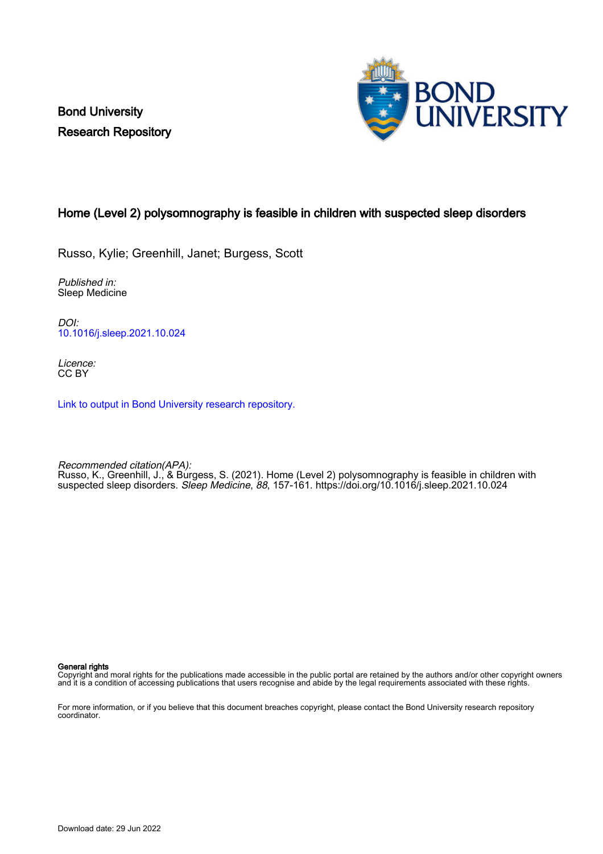Bond University Research Repository



### Home (Level 2) polysomnography is feasible in children with suspected sleep disorders

Russo, Kylie; Greenhill, Janet; Burgess, Scott

Published in: Sleep Medicine

DOI: [10.1016/j.sleep.2021.10.024](https://doi.org/10.1016/j.sleep.2021.10.024)

Licence: CC BY

[Link to output in Bond University research repository.](https://research.bond.edu.au/en/publications/65537075-9933-4bb5-bcad-de638ca3991b)

Recommended citation(APA): Russo, K., Greenhill, J., & Burgess, S. (2021). Home (Level 2) polysomnography is feasible in children with suspected sleep disorders. Sleep Medicine, 88, 157-161.<https://doi.org/10.1016/j.sleep.2021.10.024>

General rights

Copyright and moral rights for the publications made accessible in the public portal are retained by the authors and/or other copyright owners and it is a condition of accessing publications that users recognise and abide by the legal requirements associated with these rights.

For more information, or if you believe that this document breaches copyright, please contact the Bond University research repository coordinator.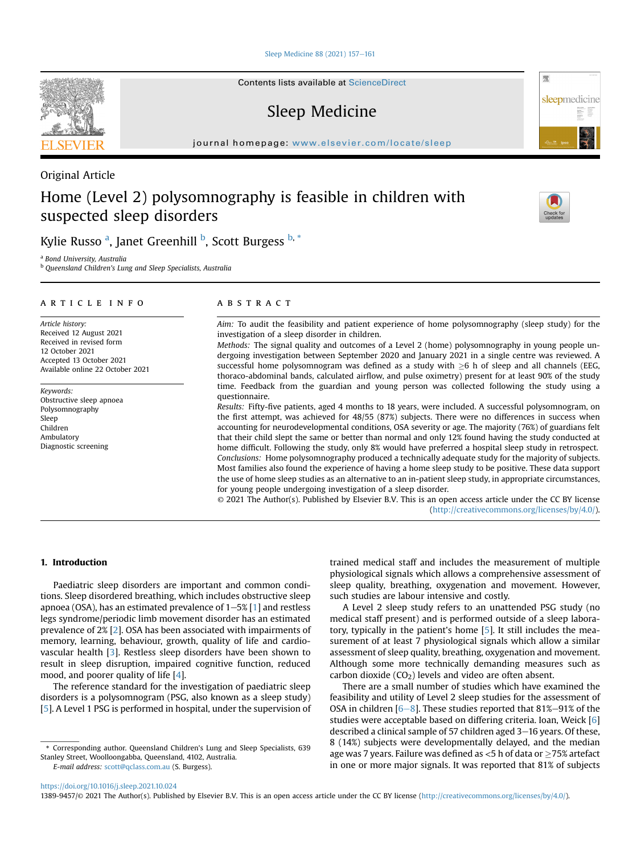[Sleep Medicine 88 \(2021\) 157](https://doi.org/10.1016/j.sleep.2021.10.024)-[161](https://doi.org/10.1016/j.sleep.2021.10.024)

Contents lists available at ScienceDirect

## Sleep Medicine

journal homepage: <www.elsevier.com/locate/sleep>

### Original Article

# Home (Level 2) polysomnography is feasible in children with suspected sleep disorders



骤

sleepmedicine

Kylie Russo <sup>[a](#page-1-0)</sup>, Janet Greenhill <sup>[b](#page-1-1)</sup>, Scott Burgess <sup>b, [\\*](#page-1-2)</sup>

<span id="page-1-0"></span><sup>a</sup> Bond University, Australia

<span id="page-1-1"></span>**b** Queensland Children's Lung and Sleep Specialists, Australia

#### article info

Article history: Received 12 August 2021 Received in revised form 12 October 2021 Accepted 13 October 2021 Available online 22 October 2021

Keywords: Obstructive sleep apnoea Polysomnography Sleep Children Ambulatory Diagnostic screening

#### ABSTRACT

Aim: To audit the feasibility and patient experience of home polysomnography (sleep study) for the investigation of a sleep disorder in children.

Methods: The signal quality and outcomes of a Level 2 (home) polysomnography in young people undergoing investigation between September 2020 and January 2021 in a single centre was reviewed. A successful home polysomnogram was defined as a study with  $\geq 6$  h of sleep and all channels (EEG, thoraco-abdominal bands, calculated airflow, and pulse oximetry) present for at least 90% of the study time. Feedback from the guardian and young person was collected following the study using a questionnaire.

Results: Fifty-five patients, aged 4 months to 18 years, were included. A successful polysomnogram, on the first attempt, was achieved for 48/55 (87%) subjects. There were no differences in success when accounting for neurodevelopmental conditions, OSA severity or age. The majority (76%) of guardians felt that their child slept the same or better than normal and only 12% found having the study conducted at home difficult. Following the study, only 8% would have preferred a hospital sleep study in retrospect. Conclusions: Home polysomnography produced a technically adequate study for the majority of subjects. Most families also found the experience of having a home sleep study to be positive. These data support the use of home sleep studies as an alternative to an in-patient sleep study, in appropriate circumstances, for young people undergoing investigation of a sleep disorder.

© 2021 The Author(s). Published by Elsevier B.V. This is an open access article under the CC BY license [\(http://creativecommons.org/licenses/by/4.0/](http://creativecommons.org/licenses/by/4.0/)).

#### 1. Introduction

Paediatric sleep disorders are important and common conditions. Sleep disordered breathing, which includes obstructive sleep apnoea (OSA), has an estimated prevalence of  $1-5\%$  [[1\]](#page-5-0) and restless legs syndrome/periodic limb movement disorder has an estimated prevalence of 2% [\[2\]](#page-5-1). OSA has been associated with impairments of memory, learning, behaviour, growth, quality of life and cardiovascular health [\[3\]](#page-5-2). Restless sleep disorders have been shown to result in sleep disruption, impaired cognitive function, reduced mood, and poorer quality of life [[4](#page-5-3)].

The reference standard for the investigation of paediatric sleep disorders is a polysomnogram (PSG, also known as a sleep study) [[5](#page-5-4)]. A Level 1 PSG is performed in hospital, under the supervision of

E-mail address: [scott@qclass.com.au](mailto:scott@qclass.com.au) (S. Burgess).

trained medical staff and includes the measurement of multiple physiological signals which allows a comprehensive assessment of sleep quality, breathing, oxygenation and movement. However, such studies are labour intensive and costly.

A Level 2 sleep study refers to an unattended PSG study (no medical staff present) and is performed outside of a sleep laboratory, typically in the patient's home [\[5](#page-5-4)]. It still includes the measurement of at least 7 physiological signals which allow a similar assessment of sleep quality, breathing, oxygenation and movement. Although some more technically demanding measures such as carbon dioxide  $(CO<sub>2</sub>)$  levels and video are often absent.

There are a small number of studies which have examined the feasibility and utility of Level 2 sleep studies for the assessment of OSA in children  $[6-8]$  $[6-8]$  $[6-8]$  $[6-8]$ . These studies reported that 81%-91% of the studies were acceptable based on differing criteria. Ioan, Weick [[6\]](#page-5-5) described a clinical sample of 57 children aged  $3-16$  years. Of these, 8 (14%) subjects were developmentally delayed, and the median age was 7 years. Failure was defined as  $<$  5 h of data or  $>$  75% artefact in one or more major signals. It was reported that 81% of subjects

#### <https://doi.org/10.1016/j.sleep.2021.10.024>

1389-9457/© 2021 The Author(s). Published by Elsevier B.V. This is an open access article under the CC BY license ([http://creativecommons.org/licenses/by/4.0/\)](http://creativecommons.org/licenses/by/4.0/).



<span id="page-1-2"></span><sup>\*</sup> Corresponding author. Queensland Children's Lung and Sleep Specialists, 639 Stanley Street, Woolloongabba, Queensland, 4102, Australia.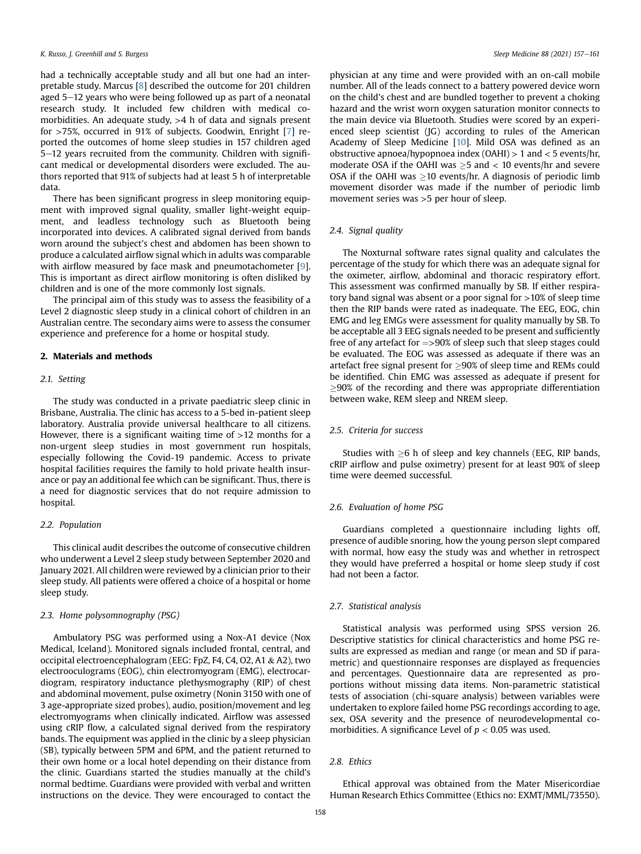had a technically acceptable study and all but one had an interpretable study. Marcus [\[8\]](#page-5-6) described the outcome for 201 children aged  $5-12$  years who were being followed up as part of a neonatal research study. It included few children with medical comorbidities. An adequate study, >4 h of data and signals present for >75%, occurred in 91% of subjects. Goodwin, Enright [\[7](#page-5-7)] reported the outcomes of home sleep studies in 157 children aged  $5-12$  years recruited from the community. Children with significant medical or developmental disorders were excluded. The authors reported that 91% of subjects had at least 5 h of interpretable data.

There has been significant progress in sleep monitoring equipment with improved signal quality, smaller light-weight equipment, and leadless technology such as Bluetooth being incorporated into devices. A calibrated signal derived from bands worn around the subject's chest and abdomen has been shown to produce a calculated airflow signal which in adults was comparable with airflow measured by face mask and pneumotachometer [\[9\]](#page-5-8). This is important as direct airflow monitoring is often disliked by children and is one of the more commonly lost signals.

The principal aim of this study was to assess the feasibility of a Level 2 diagnostic sleep study in a clinical cohort of children in an Australian centre. The secondary aims were to assess the consumer experience and preference for a home or hospital study.

#### 2. Materials and methods

#### 2.1. Setting

The study was conducted in a private paediatric sleep clinic in Brisbane, Australia. The clinic has access to a 5-bed in-patient sleep laboratory. Australia provide universal healthcare to all citizens. However, there is a significant waiting time of  $>12$  months for a non-urgent sleep studies in most government run hospitals, especially following the Covid-19 pandemic. Access to private hospital facilities requires the family to hold private health insurance or pay an additional fee which can be significant. Thus, there is a need for diagnostic services that do not require admission to hospital.

#### 2.2. Population

This clinical audit describes the outcome of consecutive children who underwent a Level 2 sleep study between September 2020 and January 2021. All children were reviewed by a clinician prior to their sleep study. All patients were offered a choice of a hospital or home sleep study.

#### 2.3. Home polysomnography (PSG)

Ambulatory PSG was performed using a Nox-A1 device (Nox Medical, Iceland). Monitored signals included frontal, central, and occipital electroencephalogram (EEG: FpZ, F4, C4, O2, A1 & A2), two electrooculograms (EOG), chin electromyogram (EMG), electrocardiogram, respiratory inductance plethysmography (RIP) of chest and abdominal movement, pulse oximetry (Nonin 3150 with one of 3 age-appropriate sized probes), audio, position/movement and leg electromyograms when clinically indicated. Airflow was assessed using cRIP flow, a calculated signal derived from the respiratory bands. The equipment was applied in the clinic by a sleep physician (SB), typically between 5PM and 6PM, and the patient returned to their own home or a local hotel depending on their distance from the clinic. Guardians started the studies manually at the child's normal bedtime. Guardians were provided with verbal and written instructions on the device. They were encouraged to contact the

physician at any time and were provided with an on-call mobile number. All of the leads connect to a battery powered device worn on the child's chest and are bundled together to prevent a choking hazard and the wrist worn oxygen saturation monitor connects to the main device via Bluetooth. Studies were scored by an experienced sleep scientist (JG) according to rules of the American Academy of Sleep Medicine [\[10](#page-5-9)]. Mild OSA was defined as an obstructive apnoea/hypopnoea index (OAHI) > 1 and < 5 events/hr, moderate OSA if the OAHI was  $>5$  and  $< 10$  events/hr and severe OSA if the OAHI was  $>$ 10 events/hr. A diagnosis of periodic limb movement disorder was made if the number of periodic limb movement series was >5 per hour of sleep.

#### 2.4. Signal quality

The Noxturnal software rates signal quality and calculates the percentage of the study for which there was an adequate signal for the oximeter, airflow, abdominal and thoracic respiratory effort. This assessment was confirmed manually by SB. If either respiratory band signal was absent or a poor signal for >10% of sleep time then the RIP bands were rated as inadequate. The EEG, EOG, chin EMG and leg EMGs were assessment for quality manually by SB. To be acceptable all 3 EEG signals needed to be present and sufficiently free of any artefact for  $\approx$  90% of sleep such that sleep stages could be evaluated. The EOG was assessed as adequate if there was an artefact free signal present for  $\geq$ 90% of sleep time and REMs could be identified. Chin EMG was assessed as adequate if present for  $\geq$ 90% of the recording and there was appropriate differentiation between wake, REM sleep and NREM sleep.

#### 2.5. Criteria for success

Studies with  $\geq 6$  h of sleep and key channels (EEG, RIP bands, cRIP airflow and pulse oximetry) present for at least 90% of sleep time were deemed successful.

#### 2.6. Evaluation of home PSG

Guardians completed a questionnaire including lights off, presence of audible snoring, how the young person slept compared with normal, how easy the study was and whether in retrospect they would have preferred a hospital or home sleep study if cost had not been a factor.

#### 2.7. Statistical analysis

Statistical analysis was performed using SPSS version 26. Descriptive statistics for clinical characteristics and home PSG results are expressed as median and range (or mean and SD if parametric) and questionnaire responses are displayed as frequencies and percentages. Questionnaire data are represented as proportions without missing data items. Non-parametric statistical tests of association (chi-square analysis) between variables were undertaken to explore failed home PSG recordings according to age, sex, OSA severity and the presence of neurodevelopmental comorbidities. A significance Level of  $p < 0.05$  was used.

#### 2.8. Ethics

Ethical approval was obtained from the Mater Misericordiae Human Research Ethics Committee (Ethics no: EXMT/MML/73550).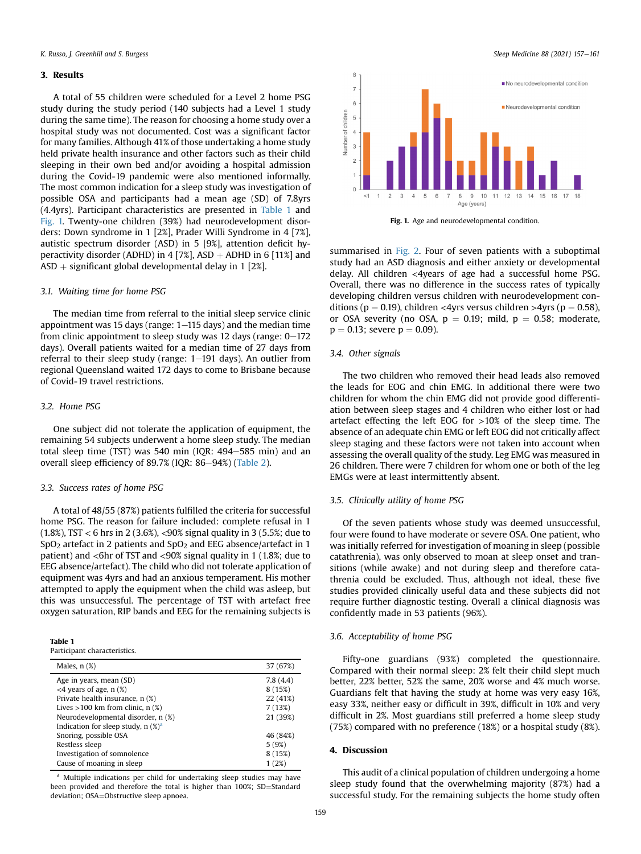#### 3. Results

A total of 55 children were scheduled for a Level 2 home PSG study during the study period (140 subjects had a Level 1 study during the same time). The reason for choosing a home study over a hospital study was not documented. Cost was a significant factor for many families. Although 41% of those undertaking a home study held private health insurance and other factors such as their child sleeping in their own bed and/or avoiding a hospital admission during the Covid-19 pandemic were also mentioned informally. The most common indication for a sleep study was investigation of possible OSA and participants had a mean age (SD) of 7.8yrs (4.4yrs). Participant characteristics are presented in [Table 1](#page-3-0) and [Fig. 1.](#page-3-1) Twenty-one children (39%) had neurodevelopment disorders: Down syndrome in 1 [2%], Prader Willi Syndrome in 4 [7%], autistic spectrum disorder (ASD) in 5 [9%], attention deficit hyperactivity disorder (ADHD) in 4 [7%], ASD  $+$  ADHD in 6 [11%] and  $ASD +$  significant global developmental delay in 1 [2%].

#### 3.1. Waiting time for home PSG

The median time from referral to the initial sleep service clinic appointment was 15 days (range:  $1-115$  days) and the median time from clinic appointment to sleep study was 12 days (range:  $0-172$ ) days). Overall patients waited for a median time of 27 days from referral to their sleep study (range:  $1-191$  days). An outlier from regional Queensland waited 172 days to come to Brisbane because of Covid-19 travel restrictions.

#### 3.2. Home PSG

One subject did not tolerate the application of equipment, the remaining 54 subjects underwent a home sleep study. The median total sleep time (TST) was 540 min (IQR:  $494-585$  min) and an overall sleep efficiency of 89.7% (IQR:  $86-94%$ ) [\(Table 2](#page-4-0)).

#### 3.3. Success rates of home PSG

A total of 48/55 (87%) patients fulfilled the criteria for successful home PSG. The reason for failure included: complete refusal in 1 (1.8%), TST < 6 hrs in 2 (3.6%), <90% signal quality in 3 (5.5%; due to SpO<sub>2</sub> artefact in 2 patients and SpO<sub>2</sub> and EEG absence/artefact in 1 patient) and <6hr of TST and <90% signal quality in 1 (1.8%; due to EEG absence/artefact). The child who did not tolerate application of equipment was 4yrs and had an anxious temperament. His mother attempted to apply the equipment when the child was asleep, but this was unsuccessful. The percentage of TST with artefact free oxygen saturation, RIP bands and EEG for the remaining subjects is

<span id="page-3-0"></span>

|--|--|--|--|--|

Participant characteristics.

| Males, $n$ $(\%)$                                | 37 (67%) |
|--------------------------------------------------|----------|
| Age in years, mean (SD)                          | 7.8(4.4) |
| $<$ 4 years of age, n $(\%)$                     | 8 (15%)  |
| Private health insurance, n (%)                  | 22 (41%) |
| Lives $>100$ km from clinic, n $(\%)$            | 7(13%)   |
| Neurodevelopmental disorder, n (%)               | 21 (39%) |
| Indication for sleep study, $n$ (%) <sup>a</sup> |          |
| Snoring, possible OSA                            | 46 (84%) |
| Restless sleep                                   | 5(9%)    |
| Investigation of somnolence                      | 8 (15%)  |
| Cause of moaning in sleep                        | 1(2%)    |
|                                                  |          |

<span id="page-3-2"></span><sup>a</sup> Multiple indications per child for undertaking sleep studies may have been provided and therefore the total is higher than 100%; SD=Standard deviation; OSA=Obstructive sleep apnoea.

<span id="page-3-1"></span>

Fig. 1. Age and neurodevelopmental condition.

summarised in [Fig. 2](#page-4-1). Four of seven patients with a suboptimal study had an ASD diagnosis and either anxiety or developmental delay. All children <4years of age had a successful home PSG. Overall, there was no difference in the success rates of typically developing children versus children with neurodevelopment conditions ( $p = 0.19$ ), children <4yrs versus children >4yrs ( $p = 0.58$ ), or OSA severity (no OSA,  $p = 0.19$ ; mild,  $p = 0.58$ ; moderate,  $p = 0.13$ ; severe  $p = 0.09$ ).

#### 3.4. Other signals

The two children who removed their head leads also removed the leads for EOG and chin EMG. In additional there were two children for whom the chin EMG did not provide good differentiation between sleep stages and 4 children who either lost or had artefact effecting the left EOG for >10% of the sleep time. The absence of an adequate chin EMG or left EOG did not critically affect sleep staging and these factors were not taken into account when assessing the overall quality of the study. Leg EMG was measured in 26 children. There were 7 children for whom one or both of the leg EMGs were at least intermittently absent.

#### 3.5. Clinically utility of home PSG

Of the seven patients whose study was deemed unsuccessful, four were found to have moderate or severe OSA. One patient, who was initially referred for investigation of moaning in sleep (possible catathrenia), was only observed to moan at sleep onset and transitions (while awake) and not during sleep and therefore catathrenia could be excluded. Thus, although not ideal, these five studies provided clinically useful data and these subjects did not require further diagnostic testing. Overall a clinical diagnosis was confidently made in 53 patients (96%).

#### 3.6. Acceptability of home PSG

Fifty-one guardians (93%) completed the questionnaire. Compared with their normal sleep: 2% felt their child slept much better, 22% better, 52% the same, 20% worse and 4% much worse. Guardians felt that having the study at home was very easy 16%, easy 33%, neither easy or difficult in 39%, difficult in 10% and very difficult in 2%. Most guardians still preferred a home sleep study (75%) compared with no preference (18%) or a hospital study (8%).

#### 4. Discussion

This audit of a clinical population of children undergoing a home sleep study found that the overwhelming majority (87%) had a successful study. For the remaining subjects the home study often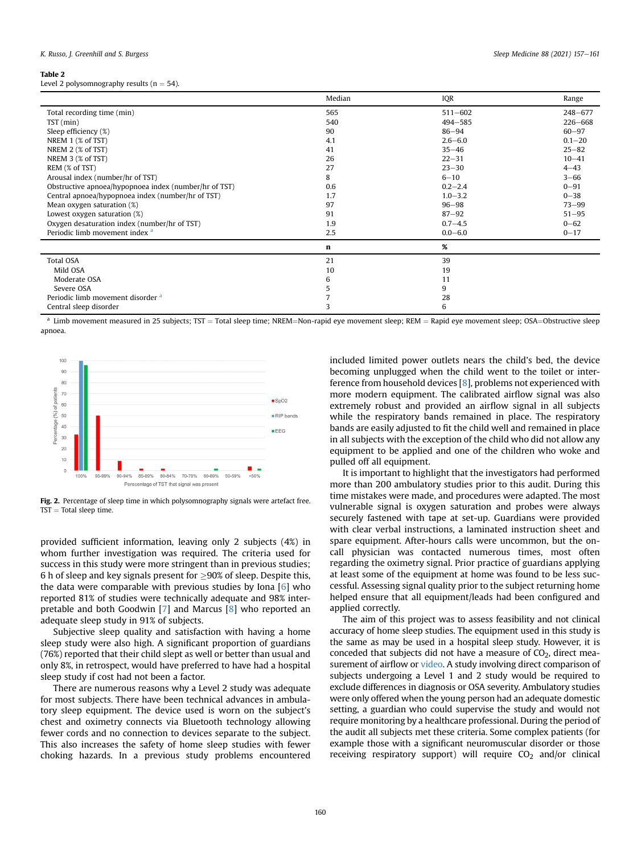#### <span id="page-4-0"></span>Table 2

Level 2 polysomnography results ( $n = 54$ ).

|                                                       | Median | IQR         | Range       |
|-------------------------------------------------------|--------|-------------|-------------|
| Total recording time (min)                            | 565    | $511 - 602$ | $248 - 677$ |
| $TST$ (min)                                           | 540    | $494 - 585$ | $226 - 668$ |
| Sleep efficiency (%)                                  | 90     | $86 - 94$   | $60 - 97$   |
| NREM 1 (% of TST)                                     | 4.1    | $2.6 - 6.0$ | $0.1 - 20$  |
| NREM 2 (% of TST)                                     | 41     | $35 - 46$   | $25 - 82$   |
| NREM 3 (% of TST)                                     | 26     | $22 - 31$   | $10 - 41$   |
| REM (% of TST)                                        | 27     | $23 - 30$   | $4 - 43$    |
| Arousal index (number/hr of TST)                      | 8      | $6 - 10$    | $3 - 66$    |
| Obstructive apnoea/hypopnoea index (number/hr of TST) | 0.6    | $0.2 - 2.4$ | $0 - 91$    |
| Central apnoea/hypopnoea index (number/hr of TST)     | 1.7    | $1.0 - 3.2$ | $0 - 38$    |
| Mean oxygen saturation (%)                            | 97     | $96 - 98$   | $73 - 99$   |
| Lowest oxygen saturation (%)                          | 91     | $87 - 92$   | $51 - 95$   |
| Oxygen desaturation index (number/hr of TST)          | 1.9    | $0.7 - 4.5$ | $0 - 62$    |
| Periodic limb movement index <sup>a</sup>             | 2.5    | $0.0 - 6.0$ | $0 - 17$    |
|                                                       | n      | %           |             |
| <b>Total OSA</b>                                      | 21     | 39          |             |
| Mild OSA                                              | 10     | 19          |             |
| Moderate OSA                                          | 6      | 11          |             |
| Severe OSA                                            | 5      | 9           |             |
| Periodic limb movement disorder <sup>a</sup>          |        | 28          |             |
| Central sleep disorder                                |        | 6           |             |

<span id="page-4-2"></span> $^{\text{a}}$  Limb movement measured in 25 subjects; TST = Total sleep time; NREM=Non-rapid eye movement sleep; REM = Rapid eye movement sleep; OSA=Obstructive sleep apnoea.

<span id="page-4-1"></span>

Fig. 2. Percentage of sleep time in which polysomnography signals were artefact free.  $TST = Total sleep time$ .

provided sufficient information, leaving only 2 subjects (4%) in whom further investigation was required. The criteria used for success in this study were more stringent than in previous studies; 6 h of sleep and key signals present for  $\geq$ 90% of sleep. Despite this, the data were comparable with previous studies by Iona [\[6](#page-5-5)] who reported 81% of studies were technically adequate and 98% interpretable and both Goodwin [[7](#page-5-7)] and Marcus [[8](#page-5-6)] who reported an adequate sleep study in 91% of subjects.

Subjective sleep quality and satisfaction with having a home sleep study were also high. A significant proportion of guardians (76%) reported that their child slept as well or better than usual and only 8%, in retrospect, would have preferred to have had a hospital sleep study if cost had not been a factor.

There are numerous reasons why a Level 2 study was adequate for most subjects. There have been technical advances in ambulatory sleep equipment. The device used is worn on the subject's chest and oximetry connects via Bluetooth technology allowing fewer cords and no connection to devices separate to the subject. This also increases the safety of home sleep studies with fewer choking hazards. In a previous study problems encountered included limited power outlets nears the child's bed, the device becoming unplugged when the child went to the toilet or interference from household devices [[8](#page-5-6)], problems not experienced with more modern equipment. The calibrated airflow signal was also extremely robust and provided an airflow signal in all subjects while the respiratory bands remained in place. The respiratory bands are easily adjusted to fit the child well and remained in place in all subjects with the exception of the child who did not allow any equipment to be applied and one of the children who woke and pulled off all equipment.

It is important to highlight that the investigators had performed more than 200 ambulatory studies prior to this audit. During this time mistakes were made, and procedures were adapted. The most vulnerable signal is oxygen saturation and probes were always securely fastened with tape at set-up. Guardians were provided with clear verbal instructions, a laminated instruction sheet and spare equipment. After-hours calls were uncommon, but the oncall physician was contacted numerous times, most often regarding the oximetry signal. Prior practice of guardians applying at least some of the equipment at home was found to be less successful. Assessing signal quality prior to the subject returning home helped ensure that all equipment/leads had been configured and applied correctly.

The aim of this project was to assess feasibility and not clinical accuracy of home sleep studies. The equipment used in this study is the same as may be used in a hospital sleep study. However, it is conceded that subjects did not have a measure of  $CO<sub>2</sub>$ , direct measurement of airflow or video. A study involving direct comparison of subjects undergoing a Level 1 and 2 study would be required to exclude differences in diagnosis or OSA severity. Ambulatory studies were only offered when the young person had an adequate domestic setting, a guardian who could supervise the study and would not require monitoring by a healthcare professional. During the period of the audit all subjects met these criteria. Some complex patients (for example those with a significant neuromuscular disorder or those receiving respiratory support) will require  $CO<sub>2</sub>$  and/or clinical